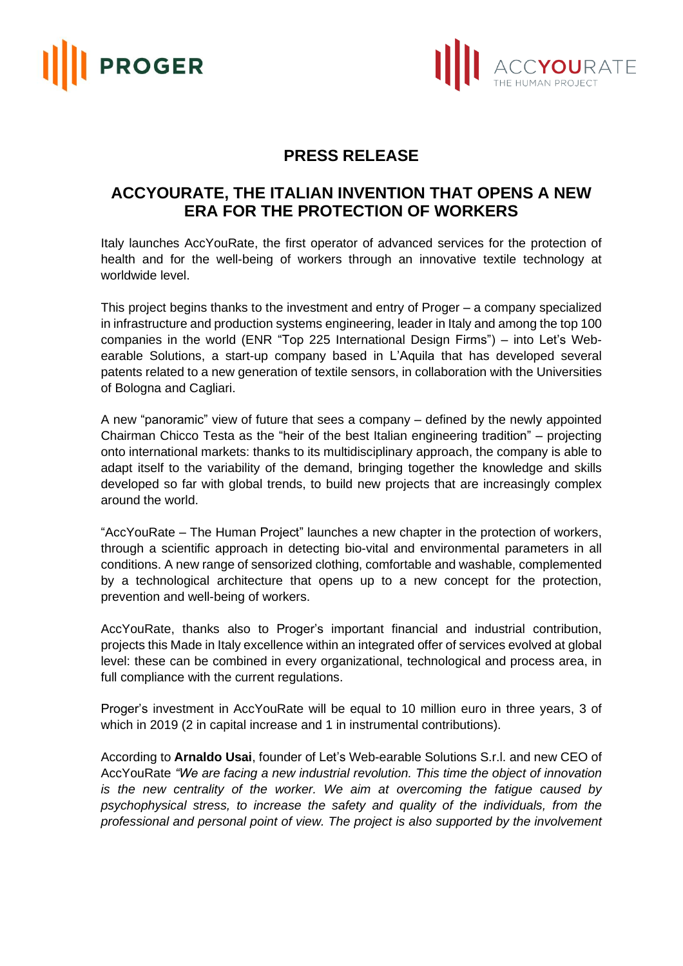



## **PRESS RELEASE**

## **ACCYOURATE, THE ITALIAN INVENTION THAT OPENS A NEW ERA FOR THE PROTECTION OF WORKERS**

Italy launches AccYouRate, the first operator of advanced services for the protection of health and for the well-being of workers through an innovative textile technology at worldwide level.

This project begins thanks to the investment and entry of Proger – a company specialized in infrastructure and production systems engineering, leader in Italy and among the top 100 companies in the world (ENR "Top 225 International Design Firms") – into Let's Webearable Solutions, a start-up company based in L'Aquila that has developed several patents related to a new generation of textile sensors, in collaboration with the Universities of Bologna and Cagliari.

A new "panoramic" view of future that sees a company – defined by the newly appointed Chairman Chicco Testa as the "heir of the best Italian engineering tradition" – projecting onto international markets: thanks to its multidisciplinary approach, the company is able to adapt itself to the variability of the demand, bringing together the knowledge and skills developed so far with global trends, to build new projects that are increasingly complex around the world.

"AccYouRate – The Human Project" launches a new chapter in the protection of workers, through a scientific approach in detecting bio-vital and environmental parameters in all conditions. A new range of sensorized clothing, comfortable and washable, complemented by a technological architecture that opens up to a new concept for the protection, prevention and well-being of workers.

AccYouRate, thanks also to Proger's important financial and industrial contribution, projects this Made in Italy excellence within an integrated offer of services evolved at global level: these can be combined in every organizational, technological and process area, in full compliance with the current regulations.

Proger's investment in AccYouRate will be equal to 10 million euro in three years, 3 of which in 2019 (2 in capital increase and 1 in instrumental contributions).

According to **Arnaldo Usai**, founder of Let's Web-earable Solutions S.r.l. and new CEO of AccYouRate *"We are facing a new industrial revolution. This time the object of innovation is the new centrality of the worker. We aim at overcoming the fatigue caused by psychophysical stress, to increase the safety and quality of the individuals, from the professional and personal point of view. The project is also supported by the involvement*